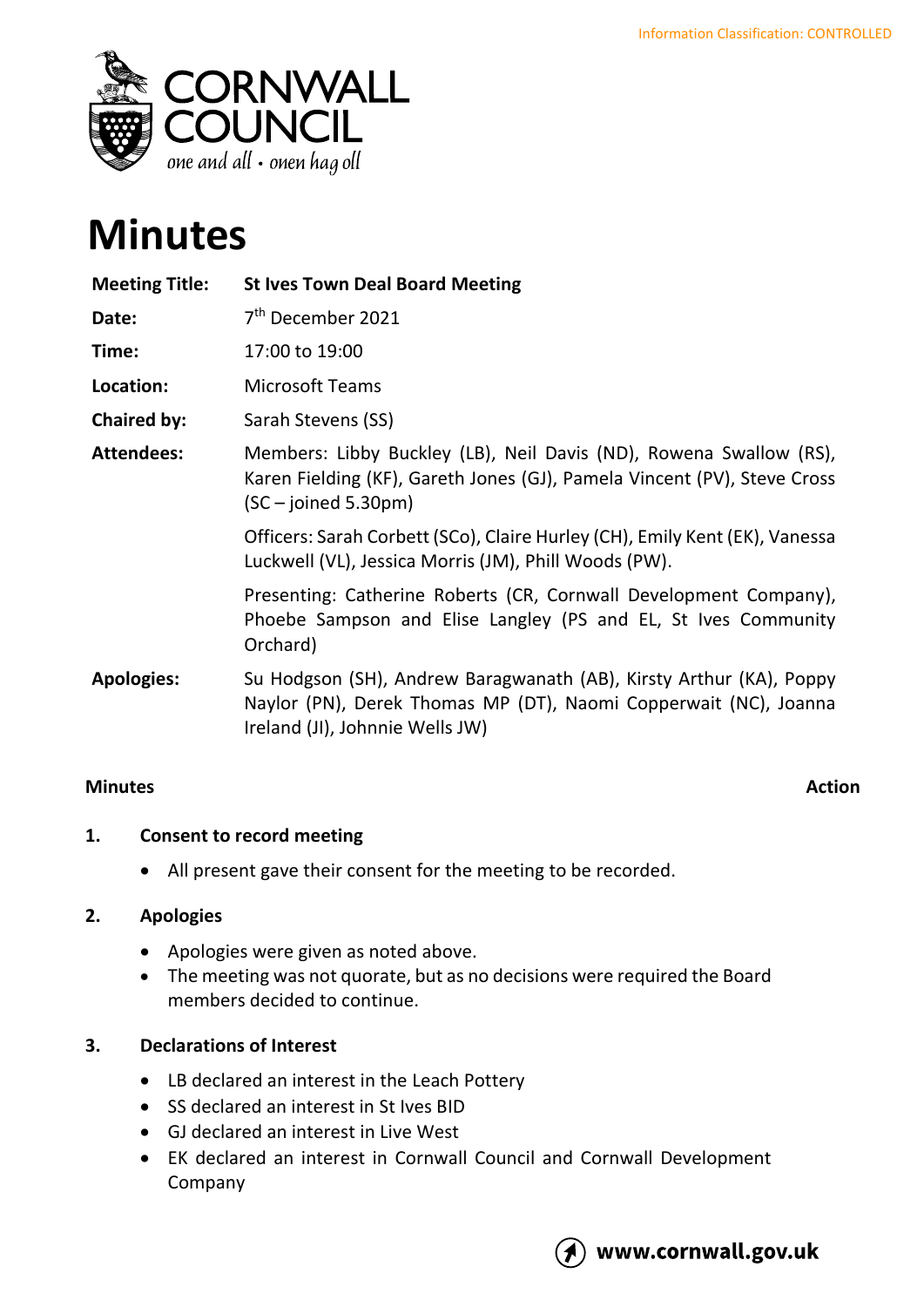

# **Minutes**

| <b>Meeting Title:</b> | <b>St Ives Town Deal Board Meeting</b>                                                                                                                                     |
|-----------------------|----------------------------------------------------------------------------------------------------------------------------------------------------------------------------|
| Date:                 | 7 <sup>th</sup> December 2021                                                                                                                                              |
| Time:                 | 17:00 to 19:00                                                                                                                                                             |
| Location:             | <b>Microsoft Teams</b>                                                                                                                                                     |
| Chaired by:           | Sarah Stevens (SS)                                                                                                                                                         |
| <b>Attendees:</b>     | Members: Libby Buckley (LB), Neil Davis (ND), Rowena Swallow (RS),<br>Karen Fielding (KF), Gareth Jones (GJ), Pamela Vincent (PV), Steve Cross<br>$(SC - joined 5.30pm)$   |
|                       | Officers: Sarah Corbett (SCo), Claire Hurley (CH), Emily Kent (EK), Vanessa<br>Luckwell (VL), Jessica Morris (JM), Phill Woods (PW).                                       |
|                       | Presenting: Catherine Roberts (CR, Cornwall Development Company),<br>Phoebe Sampson and Elise Langley (PS and EL, St Ives Community<br>Orchard)                            |
| <b>Apologies:</b>     | Su Hodgson (SH), Andrew Baragwanath (AB), Kirsty Arthur (KA), Poppy<br>Naylor (PN), Derek Thomas MP (DT), Naomi Copperwait (NC), Joanna<br>Ireland (JI), Johnnie Wells JW) |

# **Minutes** Action

# **1. Consent to record meeting**

• All present gave their consent for the meeting to be recorded.

# **2. Apologies**

- Apologies were given as noted above.
- The meeting was not quorate, but as no decisions were required the Board members decided to continue.

# **3. Declarations of Interest**

- LB declared an interest in the Leach Pottery
- SS declared an interest in St Ives BID
- GJ declared an interest in Live West
- EK declared an interest in Cornwall Council and Cornwall Development Company

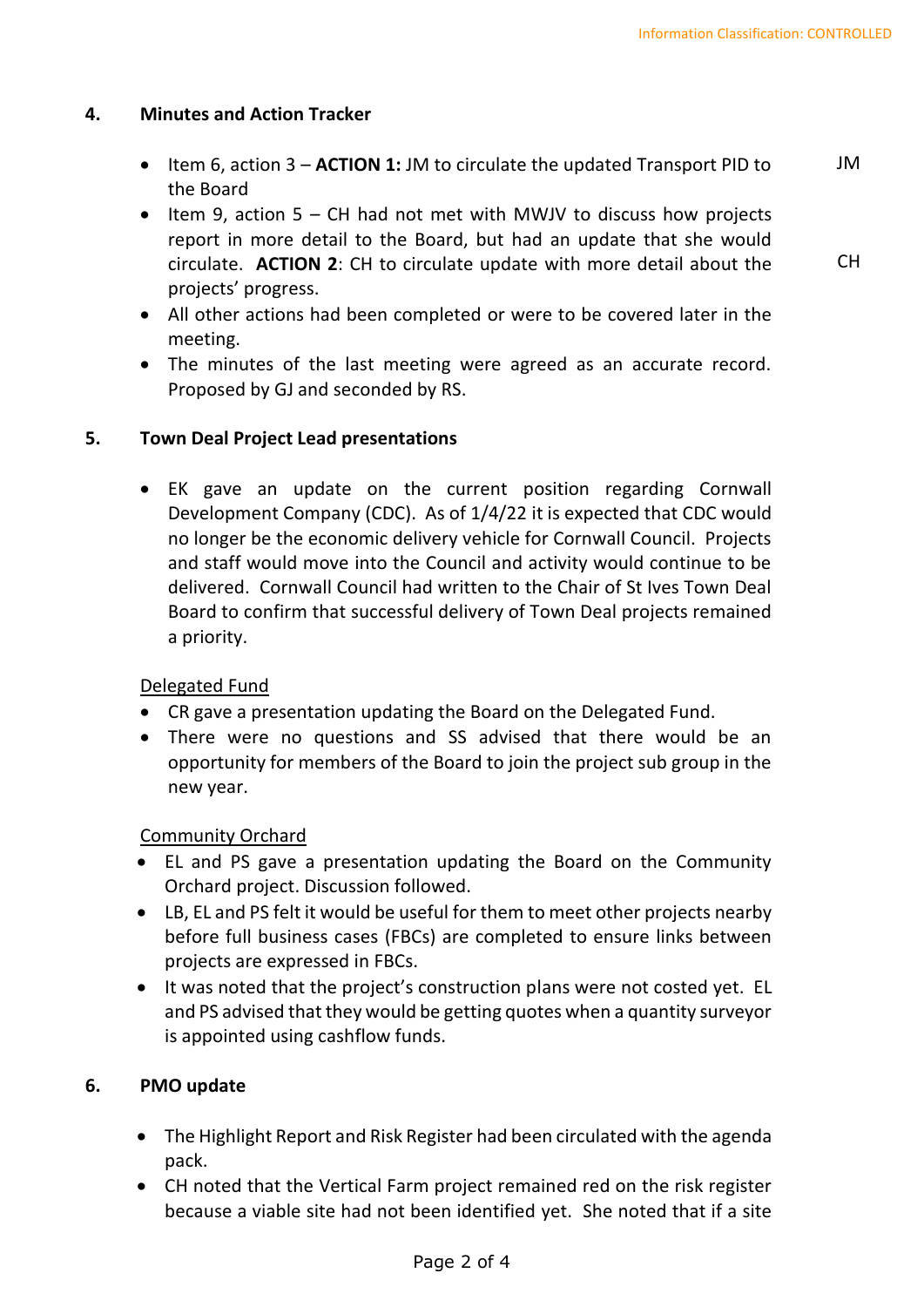### **4. Minutes and Action Tracker**

- Item 6, action 3 **ACTION 1:** JM to circulate the updated Transport PID to the Board JM
- Item 9, action 5 CH had not met with MWJV to discuss how projects report in more detail to the Board, but had an update that she would circulate. **ACTION 2**: CH to circulate update with more detail about the projects' progress.

CH

- All other actions had been completed or were to be covered later in the meeting.
- The minutes of the last meeting were agreed as an accurate record. Proposed by GJ and seconded by RS.

#### **5. Town Deal Project Lead presentations**

• EK gave an update on the current position regarding Cornwall Development Company (CDC). As of 1/4/22 it is expected that CDC would no longer be the economic delivery vehicle for Cornwall Council. Projects and staff would move into the Council and activity would continue to be delivered. Cornwall Council had written to the Chair of St Ives Town Deal Board to confirm that successful delivery of Town Deal projects remained a priority.

#### Delegated Fund

- CR gave a presentation updating the Board on the Delegated Fund.
- There were no questions and SS advised that there would be an opportunity for members of the Board to join the project sub group in the new year.

#### Community Orchard

- EL and PS gave a presentation updating the Board on the Community Orchard project. Discussion followed.
- LB, EL and PS felt it would be useful for them to meet other projects nearby before full business cases (FBCs) are completed to ensure links between projects are expressed in FBCs.
- It was noted that the project's construction plans were not costed yet. EL and PS advised that they would be getting quotes when a quantity surveyor is appointed using cashflow funds.

#### **6. PMO update**

- The Highlight Report and Risk Register had been circulated with the agenda pack.
- CH noted that the Vertical Farm project remained red on the risk register because a viable site had not been identified yet. She noted that if a site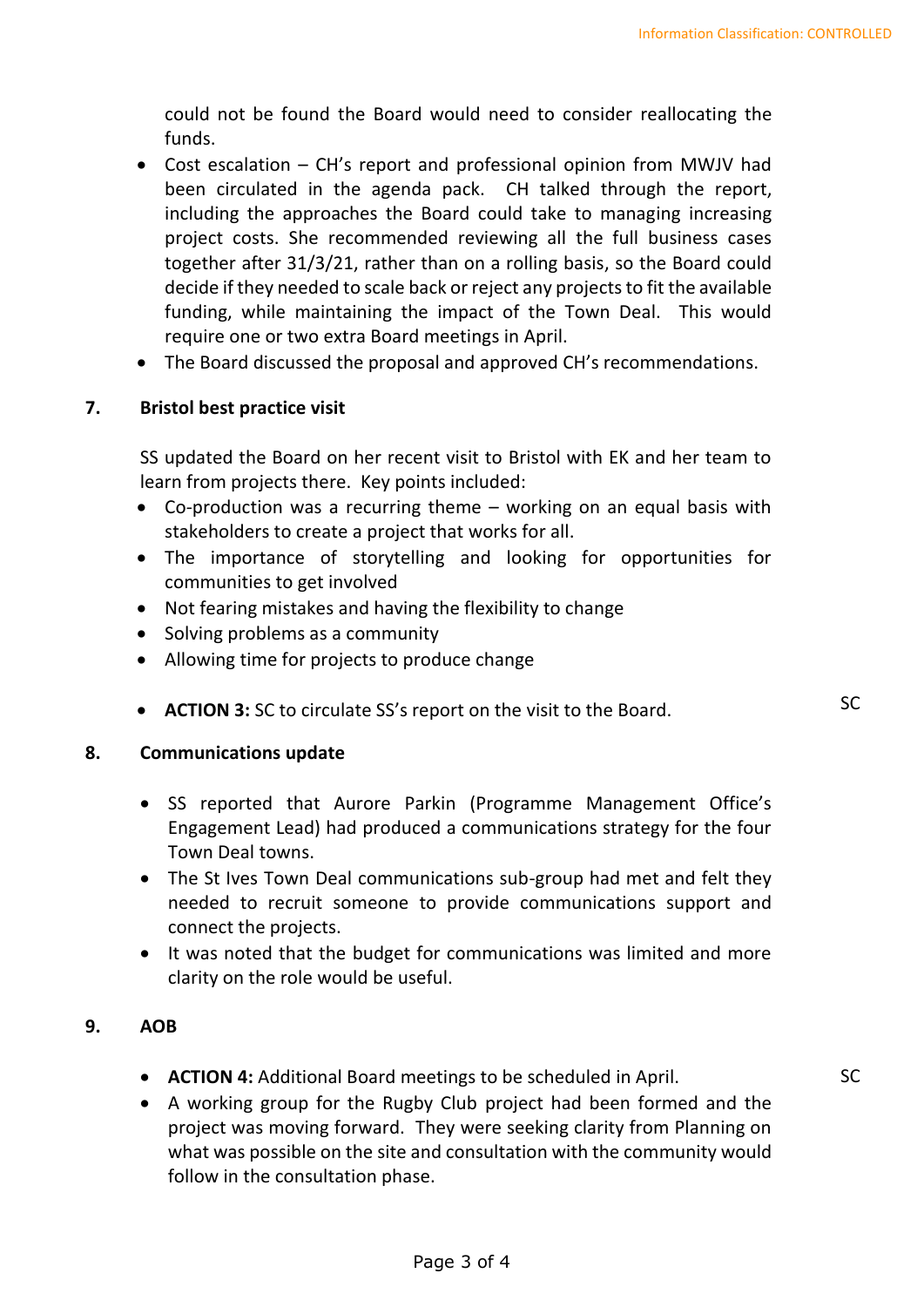could not be found the Board would need to consider reallocating the funds.

- Cost escalation CH's report and professional opinion from MWJV had been circulated in the agenda pack. CH talked through the report, including the approaches the Board could take to managing increasing project costs. She recommended reviewing all the full business cases together after 31/3/21, rather than on a rolling basis, so the Board could decide if they needed to scale back or reject any projects to fit the available funding, while maintaining the impact of the Town Deal. This would require one or two extra Board meetings in April.
- The Board discussed the proposal and approved CH's recommendations.

#### **7. Bristol best practice visit**

SS updated the Board on her recent visit to Bristol with EK and her team to learn from projects there. Key points included:

- Co-production was a recurring theme working on an equal basis with stakeholders to create a project that works for all.
- The importance of storytelling and looking for opportunities for communities to get involved
- Not fearing mistakes and having the flexibility to change
- Solving problems as a community
- Allowing time for projects to produce change
- **ACTION 3:** SC to circulate SS's report on the visit to the Board. SC

#### **8. Communications update**

- SS reported that Aurore Parkin (Programme Management Office's Engagement Lead) had produced a communications strategy for the four Town Deal towns.
- The St Ives Town Deal communications sub-group had met and felt they needed to recruit someone to provide communications support and connect the projects.
- It was noted that the budget for communications was limited and more clarity on the role would be useful.

#### **9. AOB**

- **ACTION 4:** Additional Board meetings to be scheduled in April.
- A working group for the Rugby Club project had been formed and the project was moving forward.They were seeking clarity from Planning on what was possible on the site and consultation with the community would follow in the consultation phase.

SC